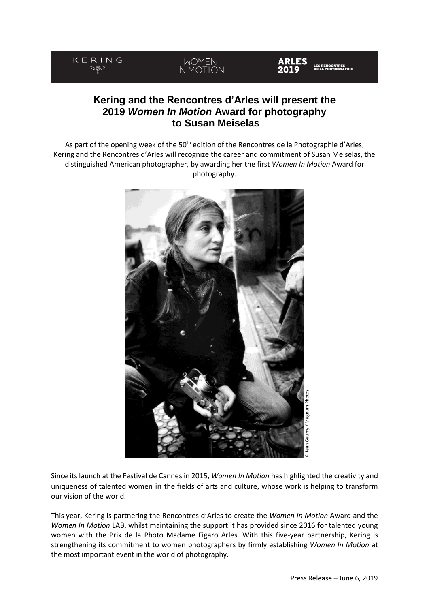#### KERING MOMEN<br>IN MOTION **IRLES** LES RENCONTRES<br>DE LA PHOTOGRAPHIE

# **Kering and the Rencontres d'Arles will present the 2019** *Women In Motion* **Award for photography to Susan Meiselas**

As part of the opening week of the 50<sup>th</sup> edition of the Rencontres de la Photographie d'Arles, Kering and the Rencontres d'Arles will recognize the career and commitment of Susan Meiselas, the distinguished American photographer, by awarding her the first *Women In Motion* Award for photography.



Since its launch at the Festival de Cannes in 2015, *Women In Motion* has highlighted the creativity and uniqueness of talented women in the fields of arts and culture, whose work is helping to transform our vision of the world.

This year, Kering is partnering the Rencontres d'Arles to create the *Women In Motion* Award and the *Women In Motion* LAB, whilst maintaining the support it has provided since 2016 for talented young women with the Prix de la Photo Madame Figaro Arles. With this five-year partnership, Kering is strengthening its commitment to women photographers by firmly establishing *Women In Motion* at the most important event in the world of photography.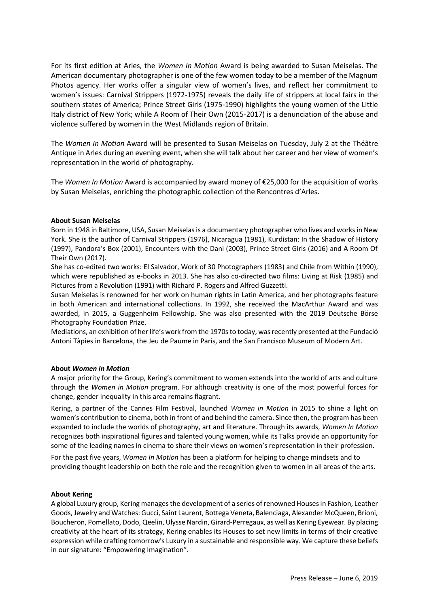For its first edition at Arles, the *Women In Motion* Award is being awarded to Susan Meiselas. The American documentary photographer is one of the few women today to be a member of the Magnum Photos agency. Her works offer a singular view of women's lives, and reflect her commitment to women's issues: Carnival Strippers (1972-1975) reveals the daily life of strippers at local fairs in the southern states of America; Prince Street Girls (1975-1990) highlights the young women of the Little Italy district of New York; while A Room of Their Own (2015-2017) is a denunciation of the abuse and violence suffered by women in the West Midlands region of Britain.

The *Women In Motion* Award will be presented to Susan Meiselas on Tuesday, July 2 at the Théâtre Antique in Arles during an evening event, when she will talk about her career and her view of women's representation in the world of photography.

The *Women In Motion* Award is accompanied by award money of €25,000 for the acquisition of works by Susan Meiselas, enriching the photographic collection of the Rencontres d'Arles.

## **About Susan Meiselas**

Born in 1948 in Baltimore, USA, Susan Meiselas is a documentary photographer who lives and works in New York. She is the author of Carnival Strippers (1976), Nicaragua (1981), Kurdistan: In the Shadow of History (1997), Pandora's Box (2001), Encounters with the Dani (2003), Prince Street Girls (2016) and A Room Of Their Own (2017).

She has co-edited two works: El Salvador, Work of 30 Photographers (1983) and Chile from Within (1990), which were republished as e-books in 2013. She has also co-directed two films: Living at Risk (1985) and Pictures from a Revolution (1991) with Richard P. Rogers and Alfred Guzzetti.

Susan Meiselas is renowned for her work on human rights in Latin America, and her photographs feature in both American and international collections. In 1992, she received the MacArthur Award and was awarded, in 2015, a Guggenheim Fellowship. She was also presented with the 2019 Deutsche Börse Photography Foundation Prize.

Mediations, an exhibition of her life's work from the 1970s to today, was recently presented at the Fundació Antoni Tàpies in Barcelona, the Jeu de Paume in Paris, and the San Francisco Museum of Modern Art.

### **About** *Women In Motion*

A major priority for the Group, Kering's commitment to women extends into the world of arts and culture through the *Women in Motion* program. For although creativity is one of the most powerful forces for change, gender inequality in this area remains flagrant.

Kering, a partner of the Cannes Film Festival, launched *Women in Motion* in 2015 to shine a light on women's contribution to cinema, both in front of and behind the camera. Since then, the program has been expanded to include the worlds of photography, art and literature. Through its awards, *Women In Motion* recognizes both inspirational figures and talented young women, while its Talks provide an opportunity for some of the leading names in cinema to share their views on women's representation in their profession.

For the past five years, *Women In Motion* has been a platform for helping to change mindsets and to providing thought leadership on both the role and the recognition given to women in all areas of the arts.

### **About Kering**

A global Luxury group, Kering manages the development of a series of renowned Houses in Fashion, Leather Goods, Jewelry and Watches: Gucci, Saint Laurent, Bottega Veneta, Balenciaga, Alexander McQueen, Brioni, Boucheron, Pomellato, Dodo, Qeelin, Ulysse Nardin, Girard-Perregaux, as well as Kering Eyewear. By placing creativity at the heart of its strategy, Kering enables its Houses to set new limits in terms of their creative expression while crafting tomorrow's Luxury in a sustainable and responsible way. We capture these beliefs in our signature: "Empowering Imagination".